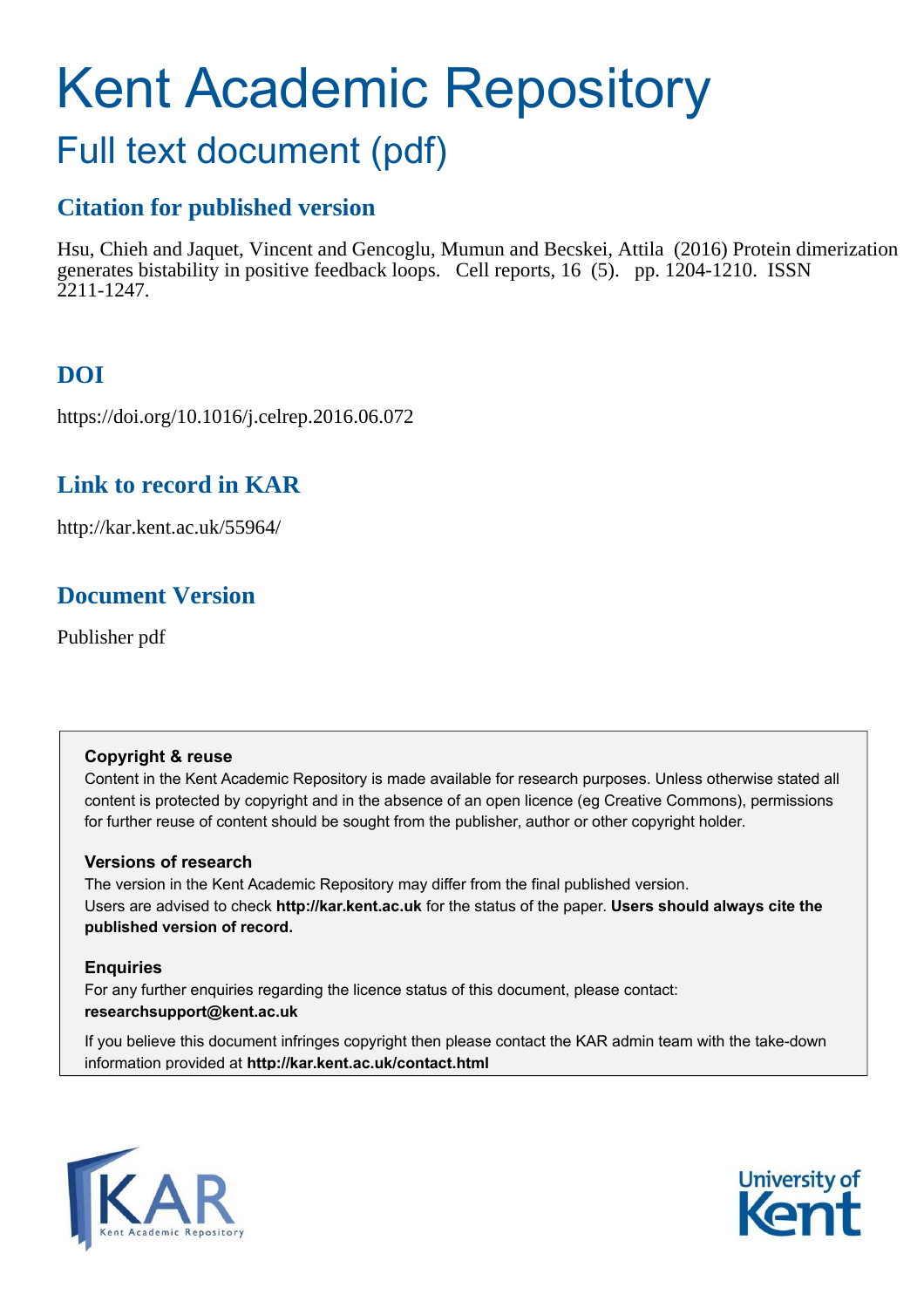# Kent Academic Repository

# Full text document (pdf)

# **Citation for published version**

Hsu, Chieh and Jaquet, Vincent and Gencoglu, Mumun and Becskei, Attila (2016) Protein dimerization generates bistability in positive feedback loops. Cell reports, 16 (5). pp. 1204-1210. ISSN 2211-1247.

# **DOI**

https://doi.org/10.1016/j.celrep.2016.06.072

# **Link to record in KAR**

http://kar.kent.ac.uk/55964/

# **Document Version**

Publisher pdf

## **Copyright & reuse**

Content in the Kent Academic Repository is made available for research purposes. Unless otherwise stated all content is protected by copyright and in the absence of an open licence (eg Creative Commons), permissions for further reuse of content should be sought from the publisher, author or other copyright holder.

## **Versions of research**

The version in the Kent Academic Repository may differ from the final published version. Users are advised to check **http://kar.kent.ac.uk** for the status of the paper. **Users should always cite the published version of record.**

## **Enquiries**

For any further enquiries regarding the licence status of this document, please contact: **researchsupport@kent.ac.uk**

If you believe this document infringes copyright then please contact the KAR admin team with the take-down information provided at **http://kar.kent.ac.uk/contact.html**



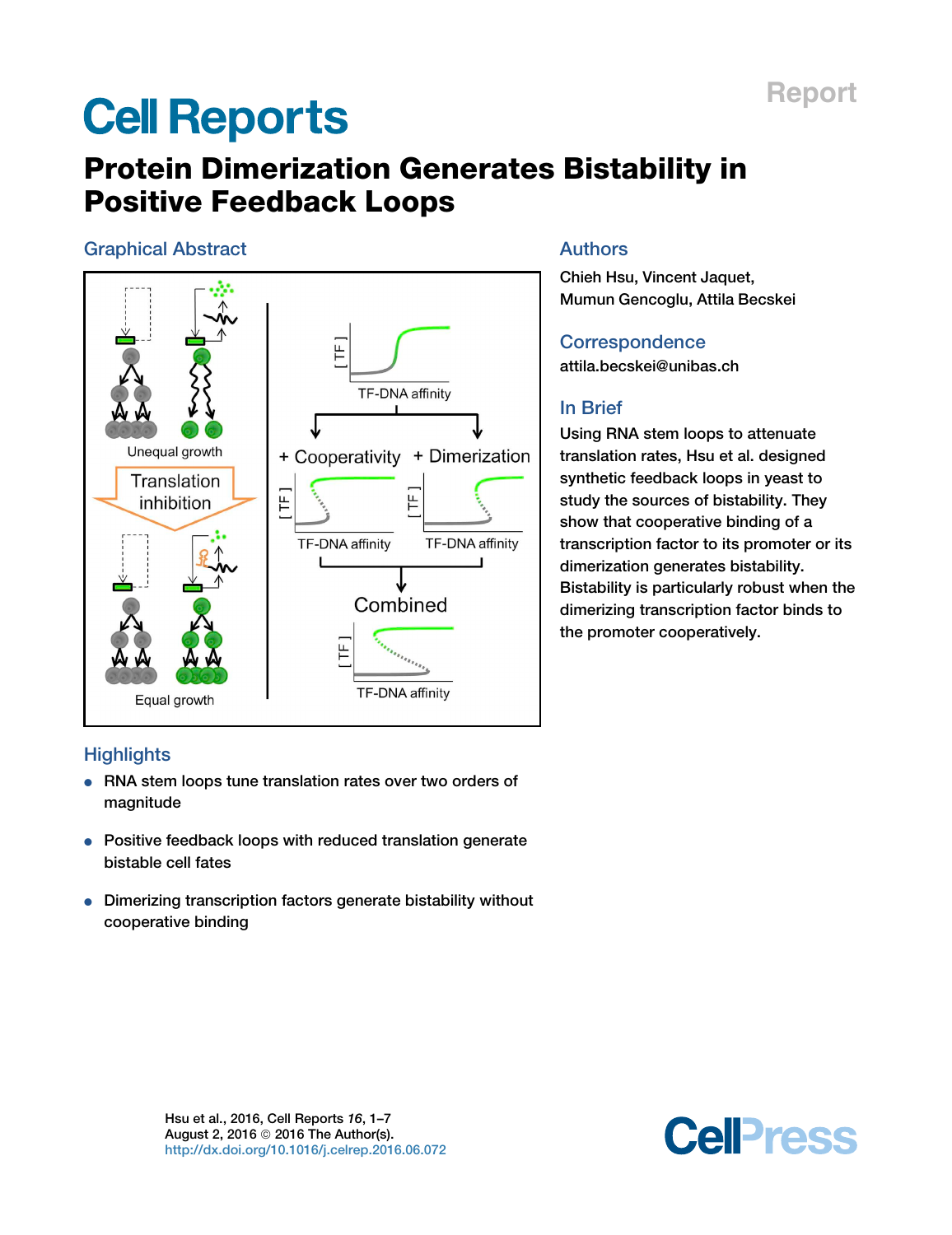# <span id="page-1-0"></span>**Cell Reports**

# Protein Dimerization Generates Bistability in Positive Feedback Loops

## Graphical Abstract



## Authors

Chieh Hsu, Vincent Jaquet, Mumun Gencoglu, Attila Becskei

Report

**Correspondence** [attila.becskei@unibas.ch](mailto:attila.becskei@unibas.ch)

## In Brief

Using RNA stem loops to attenuate translation rates, Hsu et al. designed synthetic feedback loops in yeast to study the sources of bistability. They show that cooperative binding of a transcription factor to its promoter or its dimerization generates bistability. Bistability is particularly robust when the dimerizing transcription factor binds to the promoter cooperatively.

## **Highlights**

- RNA stem loops tune translation rates over two orders of magnitude
- Positive feedback loops with reduced translation generate bistable cell fates
- Dimerizing transcription factors generate bistability without cooperative binding

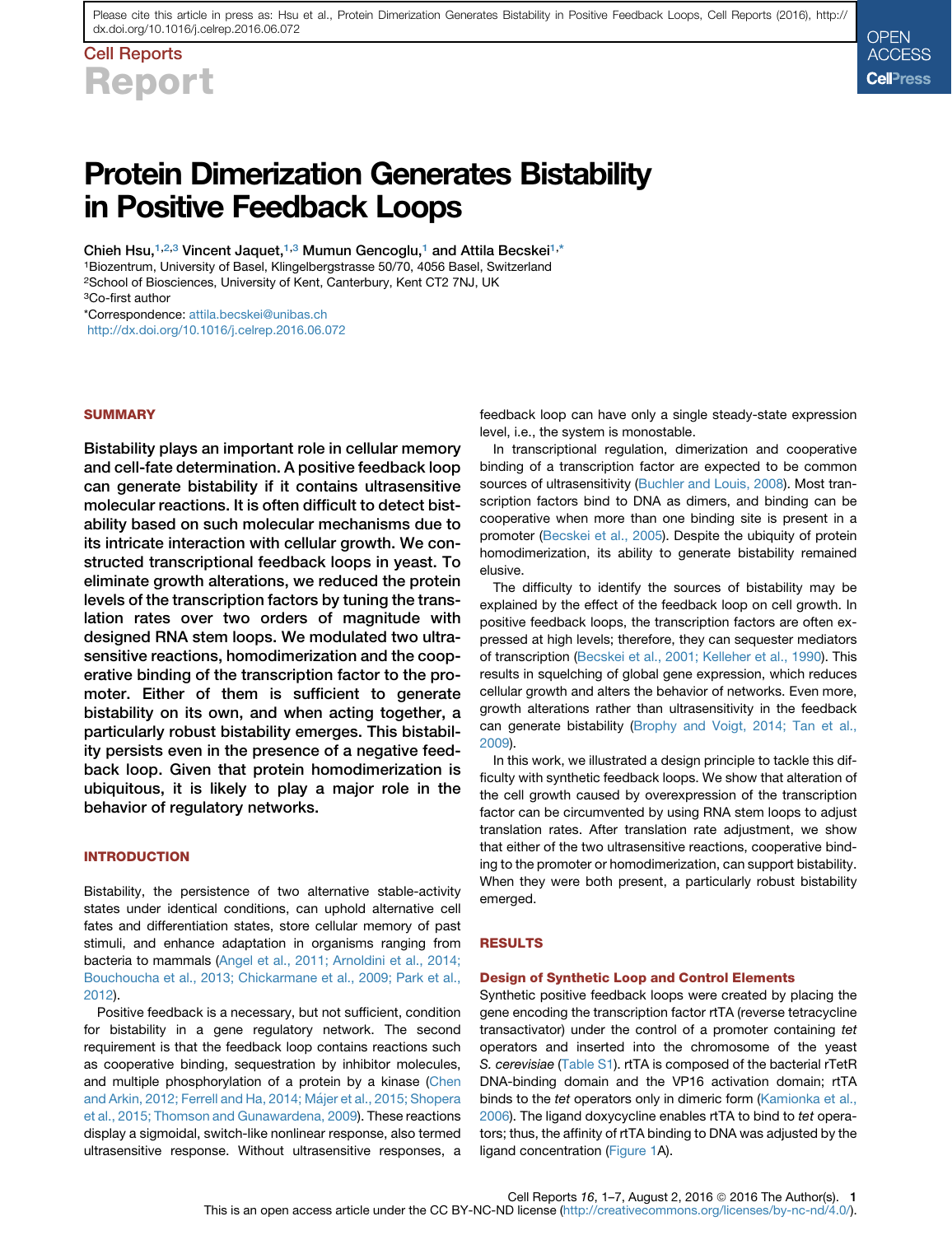<span id="page-2-0"></span>Cell Reports Report

# Protein Dimerization Generates Bistability in Positive Feedback Loops

Chieh Hsu,<sup>[1,2,3](#page-1-0)</sup> Vincent Jaquet,<sup>[1,3](#page-1-0)</sup> Mumun Gencoglu,<sup>[1](#page-1-0)</sup> and Attila Becskei<sup>1,[\\*](#page-1-0)</sup> <sup>1</sup>Biozentrum, University of Basel, Klingelbergstrasse 50/70, 4056 Basel, Switzerland <sup>2</sup>School of Biosciences, University of Kent, Canterbury, Kent CT2 7NJ, UK <sup>3</sup>Co-first author \*Correspondence: [attila.becskei@unibas.ch](mailto:attila.becskei@unibas.ch)

<http://dx.doi.org/10.1016/j.celrep.2016.06.072>

#### **SUMMARY**

Bistability plays an important role in cellular memory and cell-fate determination. A positive feedback loop can generate bistability if it contains ultrasensitive molecular reactions. It is often difficult to detect bistability based on such molecular mechanisms due to its intricate interaction with cellular growth. We constructed transcriptional feedback loops in yeast. To eliminate growth alterations, we reduced the protein levels of the transcription factors by tuning the translation rates over two orders of magnitude with designed RNA stem loops. We modulated two ultrasensitive reactions, homodimerization and the cooperative binding of the transcription factor to the promoter. Either of them is sufficient to generate bistability on its own, and when acting together, a particularly robust bistability emerges. This bistability persists even in the presence of a negative feedback loop. Given that protein homodimerization is ubiquitous, it is likely to play a major role in the behavior of regulatory networks.

#### **INTRODUCTION**

Bistability, the persistence of two alternative stable-activity states under identical conditions, can uphold alternative cell fates and differentiation states, store cellular memory of past stimuli, and enhance adaptation in organisms ranging from bacteria to mammals ([Angel et al., 2011; Arnoldini et al., 2014;](#page-6-0) [Bouchoucha et al., 2013; Chickarmane et al., 2009; Park et al.,](#page-6-0) [2012\)](#page-6-0).

Positive feedback is a necessary, but not sufficient, condition for bistability in a gene regulatory network. The second requirement is that the feedback loop contains reactions such as cooperative binding, sequestration by inhibitor molecules, and multiple phosphorylation of a protein by a kinase [\(Chen](#page-7-0) and Arkin, 2012; Ferrell and Ha, 2014; Májer et al., 2015; Shopera [et al., 2015; Thomson and Gunawardena, 2009](#page-7-0)). These reactions display a sigmoidal, switch-like nonlinear response, also termed ultrasensitive response. Without ultrasensitive responses, a

feedback loop can have only a single steady-state expression level, i.e., the system is monostable.

**OPEN** ACCESS **Cell**Press

In transcriptional regulation, dimerization and cooperative binding of a transcription factor are expected to be common sources of ultrasensitivity ([Buchler and Louis, 2008\)](#page-6-0). Most transcription factors bind to DNA as dimers, and binding can be cooperative when more than one binding site is present in a promoter [\(Becskei et al., 2005\)](#page-6-0). Despite the ubiquity of protein homodimerization, its ability to generate bistability remained elusive.

The difficulty to identify the sources of bistability may be explained by the effect of the feedback loop on cell growth. In positive feedback loops, the transcription factors are often expressed at high levels; therefore, they can sequester mediators of transcription ([Becskei et al., 2001; Kelleher et al., 1990\)](#page-6-0). This results in squelching of global gene expression, which reduces cellular growth and alters the behavior of networks. Even more, growth alterations rather than ultrasensitivity in the feedback can generate bistability ([Brophy and Voigt, 2014; Tan et al.,](#page-6-0) [2009\)](#page-6-0).

In this work, we illustrated a design principle to tackle this difficulty with synthetic feedback loops. We show that alteration of the cell growth caused by overexpression of the transcription factor can be circumvented by using RNA stem loops to adjust translation rates. After translation rate adjustment, we show that either of the two ultrasensitive reactions, cooperative binding to the promoter or homodimerization, can support bistability. When they were both present, a particularly robust bistability emerged.

#### RESULTS

#### Design of Synthetic Loop and Control Elements

Synthetic positive feedback loops were created by placing the gene encoding the transcription factor rtTA (reverse tetracycline transactivator) under the control of a promoter containing *tet* operators and inserted into the chromosome of the yeast *S. cerevisiae* (Table S1). rtTA is composed of the bacterial rTetR DNA-binding domain and the VP16 activation domain; rtTA binds to the *tet* operators only in dimeric form [\(Kamionka et al.,](#page-7-0) [2006\)](#page-7-0). The ligand doxycycline enables rtTA to bind to *tet* operators; thus, the affinity of rtTA binding to DNA was adjusted by the ligand concentration (Figure 1A).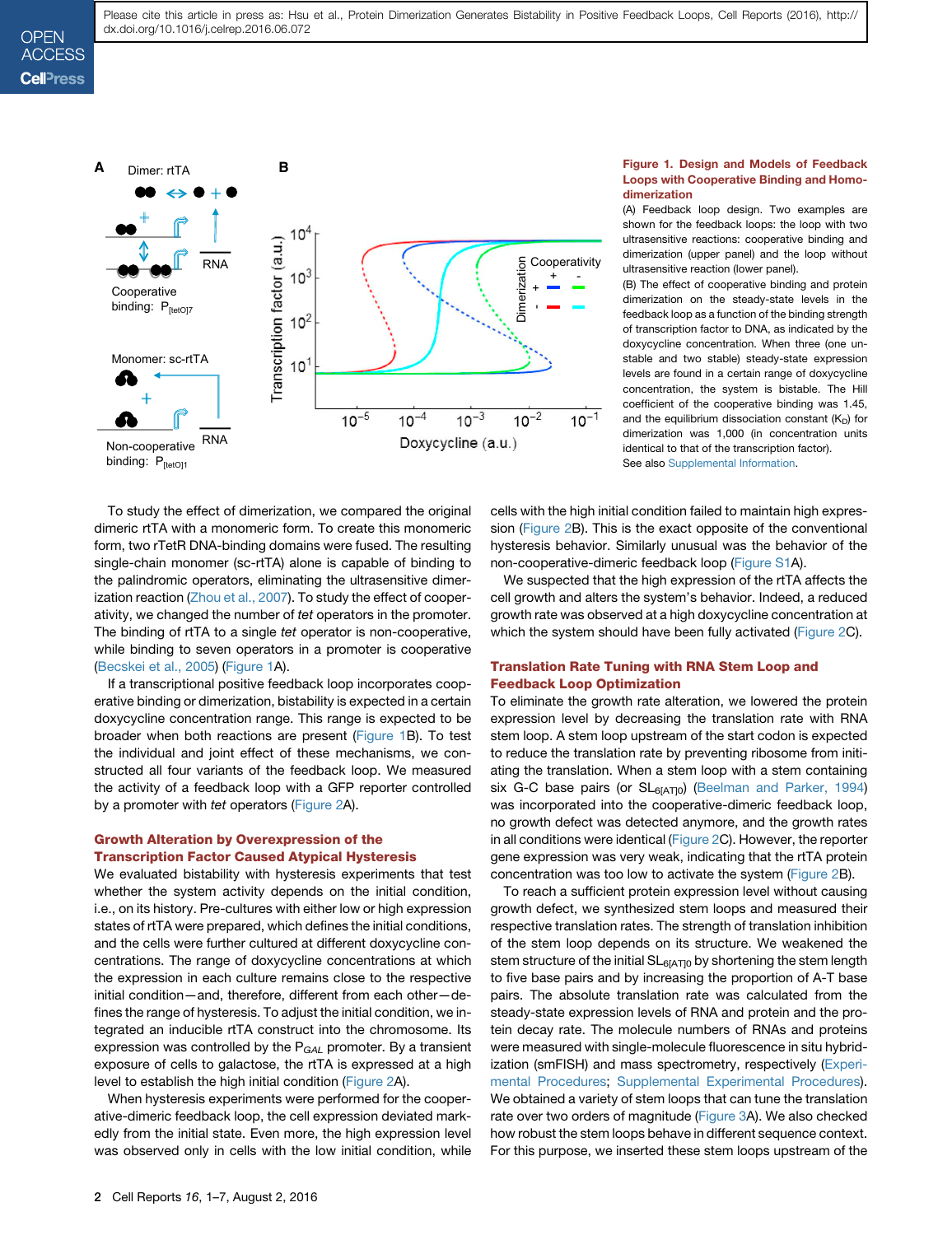#### **OPEN** ACCESS **Cell**<sup>ress</sup>



To study the effect of dimerization, we compared the original dimeric rtTA with a monomeric form. To create this monomeric form, two rTetR DNA-binding domains were fused. The resulting single-chain monomer (sc-rtTA) alone is capable of binding to the palindromic operators, eliminating the ultrasensitive dimerization reaction ([Zhou et al., 2007\)](#page-7-0). To study the effect of cooperativity, we changed the number of *tet* operators in the promoter. The binding of rtTA to a single *tet* operator is non-cooperative, while binding to seven operators in a promoter is cooperative ([Becskei et al., 2005](#page-6-0)) [\(Figure 1A](#page-2-0)).

If a transcriptional positive feedback loop incorporates cooperative binding or dimerization, bistability is expected in a certain doxycycline concentration range. This range is expected to be broader when both reactions are present ([Figure 1B](#page-2-0)). To test the individual and joint effect of these mechanisms, we constructed all four variants of the feedback loop. We measured the activity of a feedback loop with a GFP reporter controlled by a promoter with *tet* operators (Figure 2A).

#### Growth Alteration by Overexpression of the Transcription Factor Caused Atypical Hysteresis

We evaluated bistability with hysteresis experiments that test whether the system activity depends on the initial condition, i.e., on its history. Pre-cultures with either low or high expression states of rtTA were prepared, which defines the initial conditions, and the cells were further cultured at different doxycycline concentrations. The range of doxycycline concentrations at which the expression in each culture remains close to the respective initial condition—and, therefore, different from each other—defines the range of hysteresis. To adjust the initial condition, we integrated an inducible rtTA construct into the chromosome. Its expression was controlled by the P*GAL* promoter. By a transient exposure of cells to galactose, the rtTA is expressed at a high level to establish the high initial condition (Figure 2A).

When hysteresis experiments were performed for the cooperative-dimeric feedback loop, the cell expression deviated markedly from the initial state. Even more, the high expression level was observed only in cells with the low initial condition, while

#### Figure 1. Design and Models of Feedback Loops with Cooperative Binding and Homodimerization

(A) Feedback loop design. Two examples are shown for the feedback loops: the loop with two ultrasensitive reactions: cooperative binding and dimerization (upper panel) and the loop without ultrasensitive reaction (lower panel).

(B) The effect of cooperative binding and protein dimerization on the steady-state levels in the feedback loop as a function of the binding strength of transcription factor to DNA, as indicated by the doxycycline concentration. When three (one unstable and two stable) steady-state expression levels are found in a certain range of doxycycline concentration, the system is bistable. The Hill coefficient of the cooperative binding was 1.45, and the equilibrium dissociation constant  $(K_D)$  for dimerization was 1,000 (in concentration units identical to that of the transcription factor). See also [Supplemental Information.](#page-6-0)

cells with the high initial condition failed to maintain high expression (Figure 2B). This is the exact opposite of the conventional hysteresis behavior. Similarly unusual was the behavior of the non-cooperative-dimeric feedback loop (Figure S1A).

We suspected that the high expression of the rtTA affects the cell growth and alters the system's behavior. Indeed, a reduced growth rate was observed at a high doxycycline concentration at which the system should have been fully activated (Figure 2C).

#### Translation Rate Tuning with RNA Stem Loop and Feedback Loop Optimization

To eliminate the growth rate alteration, we lowered the protein expression level by decreasing the translation rate with RNA stem loop. A stem loop upstream of the start codon is expected to reduce the translation rate by preventing ribosome from initiating the translation. When a stem loop with a stem containing six G-C base pairs (or  $SL_{6[AT]0}$ ) ([Beelman and Parker, 1994\)](#page-6-0) was incorporated into the cooperative-dimeric feedback loop, no growth defect was detected anymore, and the growth rates in all conditions were identical (Figure 2C). However, the reporter gene expression was very weak, indicating that the rtTA protein concentration was too low to activate the system (Figure 2B).

To reach a sufficient protein expression level without causing growth defect, we synthesized stem loops and measured their respective translation rates. The strength of translation inhibition of the stem loop depends on its structure. We weakened the stem structure of the initial  $SL_{6[AT]0}$  by shortening the stem length to five base pairs and by increasing the proportion of A-T base pairs. The absolute translation rate was calculated from the steady-state expression levels of RNA and protein and the protein decay rate. The molecule numbers of RNAs and proteins were measured with single-molecule fluorescence in situ hybridization (smFISH) and mass spectrometry, respectively ([Experi](#page-5-0)[mental Procedures](#page-5-0); Supplemental Experimental Procedures). We obtained a variety of stem loops that can tune the translation rate over two orders of magnitude ([Figure 3](#page-4-0)A). We also checked how robust the stem loops behave in different sequence context. For this purpose, we inserted these stem loops upstream of the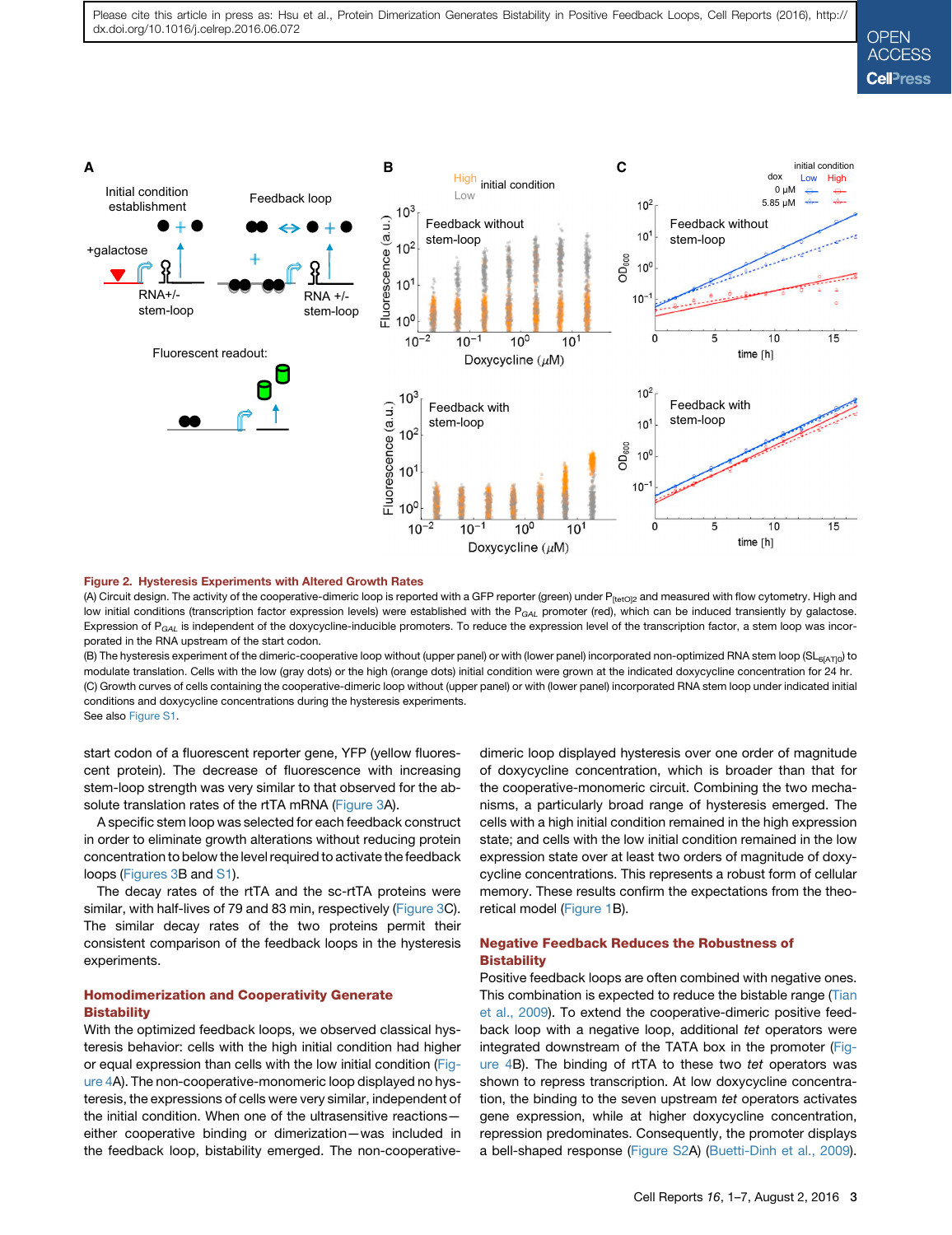<span id="page-4-0"></span>

#### Figure 2. Hysteresis Experiments with Altered Growth Rates

(A) Circuit design. The activity of the cooperative-dimeric loop is reported with a GFP reporter (green) under P<sub>ftetOl2</sub> and measured with flow cytometry. High and low initial conditions (transcription factor expression levels) were established with the P<sub>GAL</sub> promoter (red), which can be induced transiently by galactose. Expression of P<sub>GAL</sub> is independent of the doxycycline-inducible promoters. To reduce the expression level of the transcription factor, a stem loop was incorporated in the RNA upstream of the start codon.

(B) The hysteresis experiment of the dimeric-cooperative loop without (upper panel) or with (lower panel) incorporated non-optimized RNA stem loop (SL<sub>6[AT]0</sub>) to modulate translation. Cells with the low (gray dots) or the high (orange dots) initial condition were grown at the indicated doxycycline concentration for 24 hr. (C) Growth curves of cells containing the cooperative-dimeric loop without (upper panel) or with (lower panel) incorporated RNA stem loop under indicated initial conditions and doxycycline concentrations during the hysteresis experiments. See also Figure S1.

start codon of a fluorescent reporter gene, YFP (yellow fluorescent protein). The decrease of fluorescence with increasing stem-loop strength was very similar to that observed for the absolute translation rates of the rtTA mRNA (Figure 3A).

A specific stem loop was selected for each feedback construct in order to eliminate growth alterations without reducing protein concentration to below the level required to activate the feedback loops (Figures 3B and S1).

The decay rates of the rtTA and the sc-rtTA proteins were similar, with half-lives of 79 and 83 min, respectively (Figure 3C). The similar decay rates of the two proteins permit their consistent comparison of the feedback loops in the hysteresis experiments.

#### Homodimerization and Cooperativity Generate **Bistability**

With the optimized feedback loops, we observed classical hysteresis behavior: cells with the high initial condition had higher or equal expression than cells with the low initial condition [\(Fig](#page-5-0)[ure 4](#page-5-0)A). The non-cooperative-monomeric loop displayed no hysteresis, the expressions of cells were very similar, independent of the initial condition. When one of the ultrasensitive reactions either cooperative binding or dimerization—was included in the feedback loop, bistability emerged. The non-cooperativedimeric loop displayed hysteresis over one order of magnitude of doxycycline concentration, which is broader than that for the cooperative-monomeric circuit. Combining the two mechanisms, a particularly broad range of hysteresis emerged. The cells with a high initial condition remained in the high expression state; and cells with the low initial condition remained in the low expression state over at least two orders of magnitude of doxycycline concentrations. This represents a robust form of cellular memory. These results confirm the expectations from the theoretical model ([Figure 1](#page-2-0)B).

#### Negative Feedback Reduces the Robustness of **Bistability**

Positive feedback loops are often combined with negative ones. This combination is expected to reduce the bistable range [\(Tian](#page-7-0) [et al., 2009](#page-7-0)). To extend the cooperative-dimeric positive feedback loop with a negative loop, additional *tet* operators were integrated downstream of the TATA box in the promoter [\(Fig](#page-5-0)[ure 4B](#page-5-0)). The binding of rtTA to these two *tet* operators was shown to repress transcription. At low doxycycline concentration, the binding to the seven upstream *tet* operators activates gene expression, while at higher doxycycline concentration, repression predominates. Consequently, the promoter displays a bell-shaped response (Figure S2A) ([Buetti-Dinh et al., 2009\)](#page-7-0).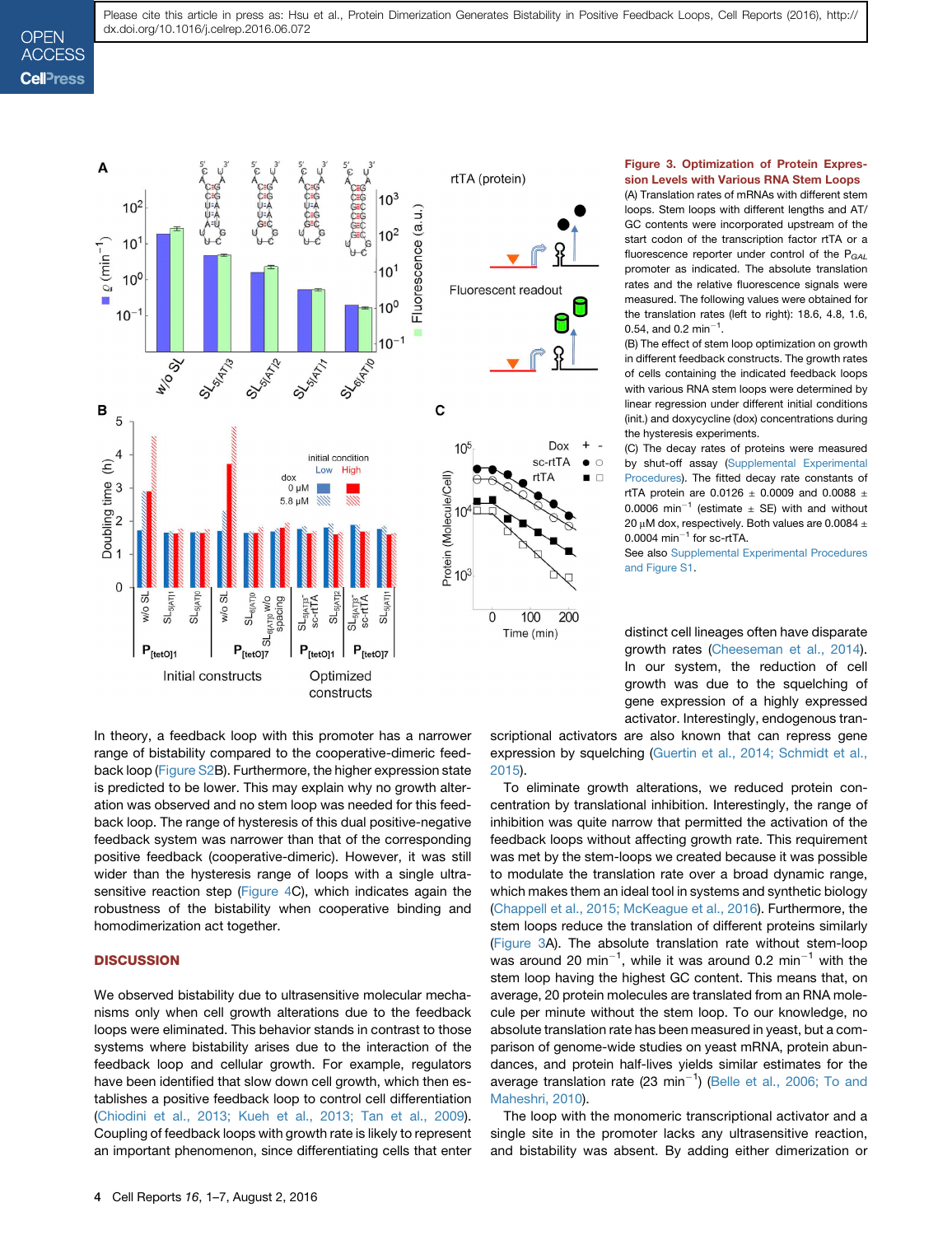### <span id="page-5-0"></span>**OPEN ACCESS Cell**<sup>ress</sup>



#### Figure 3. Optimization of Protein Expression Levels with Various RNA Stem Loops

(A) Translation rates of mRNAs with different stem loops. Stem loops with different lengths and AT/ GC contents were incorporated upstream of the start codon of the transcription factor rtTA or a fluorescence reporter under control of the P*GAL* promoter as indicated. The absolute translation rates and the relative fluorescence signals were measured. The following values were obtained for the translation rates (left to right): 18.6, 4.8, 1.6, 0.54, and 0.2 min<sup>-1</sup>.

(B) The effect of stem loop optimization on growth in different feedback constructs. The growth rates of cells containing the indicated feedback loops with various RNA stem loops were determined by linear regression under different initial conditions (init.) and doxycycline (dox) concentrations during the hysteresis experiments.

(C) The decay rates of proteins were measured by shut-off assay (Supplemental Experimental Procedures). The fitted decay rate constants of rtTA protein are 0.0126  $\pm$  0.0009 and 0.0088  $\pm$ 0.0006 min<sup>-1</sup> (estimate  $\pm$  SE) with and without 20  $\mu$ M dox, respectively. Both values are 0.0084  $\pm$  $0.0004$  min<sup>-1</sup> for sc-rtTA.

See also Supplemental Experimental Procedures and Figure S1.

distinct cell lineages often have disparate growth rates [\(Cheeseman et al., 2014](#page-7-0)). In our system, the reduction of cell growth was due to the squelching of gene expression of a highly expressed activator. Interestingly, endogenous tran-

In theory, a feedback loop with this promoter has a narrower range of bistability compared to the cooperative-dimeric feedback loop (Figure S2B). Furthermore, the higher expression state is predicted to be lower. This may explain why no growth alteration was observed and no stem loop was needed for this feedback loop. The range of hysteresis of this dual positive-negative feedback system was narrower than that of the corresponding positive feedback (cooperative-dimeric). However, it was still wider than the hysteresis range of loops with a single ultrasensitive reaction step (Figure 4C), which indicates again the robustness of the bistability when cooperative binding and homodimerization act together.

#### **DISCUSSION**

We observed bistability due to ultrasensitive molecular mechanisms only when cell growth alterations due to the feedback loops were eliminated. This behavior stands in contrast to those systems where bistability arises due to the interaction of the feedback loop and cellular growth. For example, regulators have been identified that slow down cell growth, which then establishes a positive feedback loop to control cell differentiation ([Chiodini et al., 2013; Kueh et al., 2013; Tan et al., 2009](#page-7-0)). Coupling of feedback loops with growth rate is likely to represent an important phenomenon, since differentiating cells that enter

scriptional activators are also known that can repress gene expression by squelching [\(Guertin et al., 2014; Schmidt et al.,](#page-7-0) [2015\)](#page-7-0).

 $\circ$ 

 $\Box$ 

To eliminate growth alterations, we reduced protein concentration by translational inhibition. Interestingly, the range of inhibition was quite narrow that permitted the activation of the feedback loops without affecting growth rate. This requirement was met by the stem-loops we created because it was possible to modulate the translation rate over a broad dynamic range, which makes them an ideal tool in systems and synthetic biology [\(Chappell et al., 2015; McKeague et al., 2016](#page-7-0)). Furthermore, the stem loops reduce the translation of different proteins similarly [\(Figure 3A](#page-4-0)). The absolute translation rate without stem-loop was around 20 min<sup>-1</sup>, while it was around 0.2 min<sup>-1</sup> with the stem loop having the highest GC content. This means that, on average, 20 protein molecules are translated from an RNA molecule per minute without the stem loop. To our knowledge, no absolute translation rate has been measured in yeast, but a comparison of genome-wide studies on yeast mRNA, protein abundances, and protein half-lives yields similar estimates for the average translation rate (23  $min^{-1}$ ) [\(Belle et al., 2006; To and](#page-6-0) [Maheshri, 2010](#page-6-0)).

The loop with the monomeric transcriptional activator and a single site in the promoter lacks any ultrasensitive reaction, and bistability was absent. By adding either dimerization or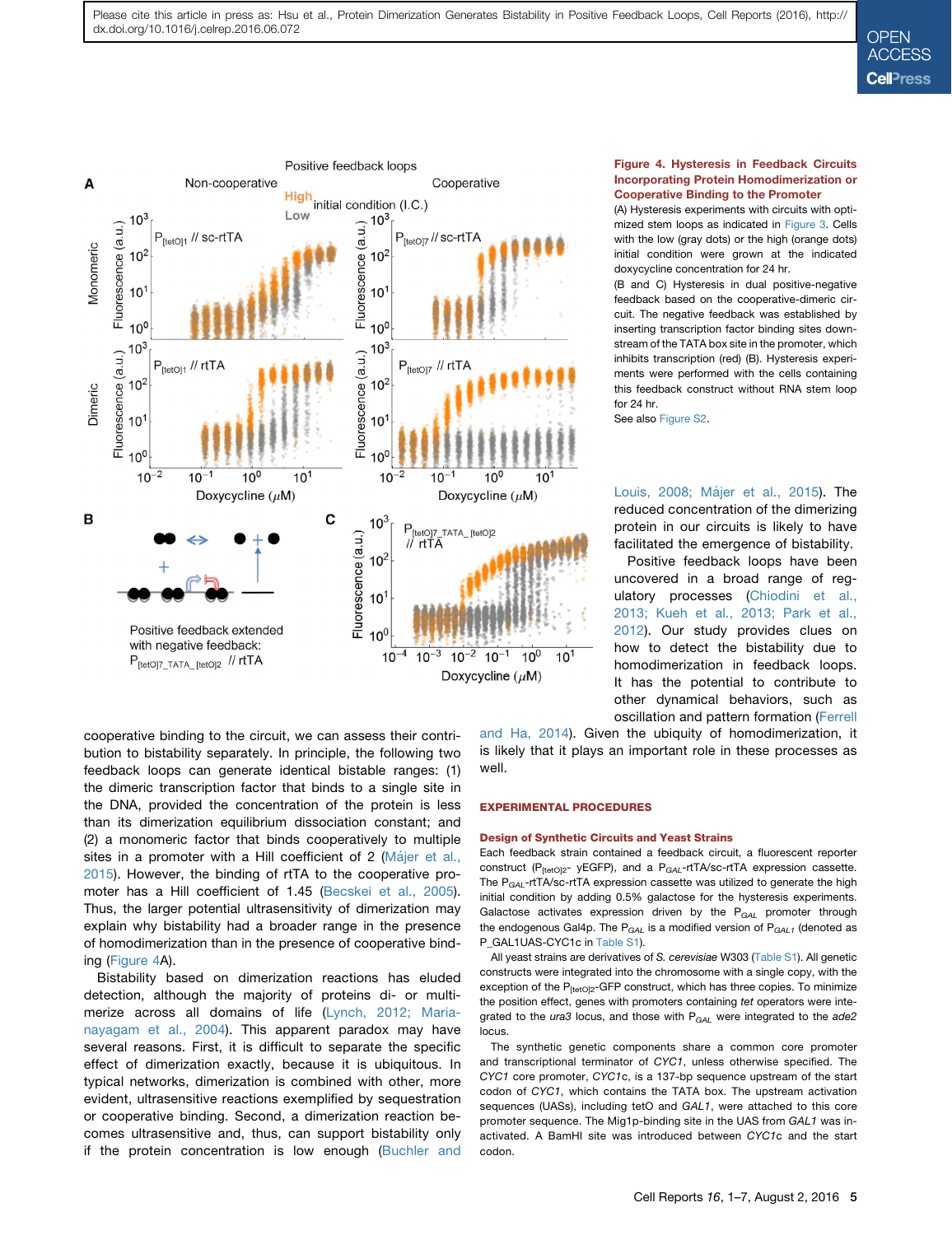<span id="page-6-0"></span>

#### Figure 4. Hysteresis in Feedback Circuits Incorporating Protein Homodimerization or Cooperative Binding to the Promoter

(A) Hysteresis experiments with circuits with optimized stem loops as indicated in [Figure 3](#page-4-0). Cells with the low (gray dots) or the high (orange dots) initial condition were grown at the indicated doxycycline concentration for 24 hr.

(B and C) Hysteresis in dual positive-negative feedback based on the cooperative-dimeric circuit. The negative feedback was established by inserting transcription factor binding sites downstream of the TATA box site in the promoter, which inhibits transcription (red) (B). Hysteresis experiments were performed with the cells containing this feedback construct without RNA stem loop for 24 hr.

See also Figure S2.

Louis, 2008; Májer et al., 2015). The reduced concentration of the dimerizing protein in our circuits is likely to have facilitated the emergence of bistability.

Positive feedback loops have been uncovered in a broad range of regulatory processes [\(Chiodini et al.,](#page-7-0) [2013; Kueh et al., 2013; Park et al.,](#page-7-0) [2012](#page-7-0)). Our study provides clues on how to detect the bistability due to homodimerization in feedback loops. It has the potential to contribute to other dynamical behaviors, such as oscillation and pattern formation [\(Ferrell](#page-7-0)

cooperative binding to the circuit, we can assess their contribution to bistability separately. In principle, the following two feedback loops can generate identical bistable ranges: (1) the dimeric transcription factor that binds to a single site in the DNA, provided the concentration of the protein is less than its dimerization equilibrium dissociation constant; and (2) a monomeric factor that binds cooperatively to multiple sites in a promoter with a Hill coefficient of 2 (Má[jer et al.,](#page-7-0) [2015](#page-7-0)). However, the binding of rtTA to the cooperative promoter has a Hill coefficient of 1.45 (Becskei et al., 2005). Thus, the larger potential ultrasensitivity of dimerization may explain why bistability had a broader range in the presence of homodimerization than in the presence of cooperative binding ([Figure 4](#page-5-0)A).

Bistability based on dimerization reactions has eluded detection, although the majority of proteins di- or multimerize across all domains of life ([Lynch, 2012; Maria](#page-7-0)[nayagam et al., 2004\)](#page-7-0). This apparent paradox may have several reasons. First, it is difficult to separate the specific effect of dimerization exactly, because it is ubiquitous. In typical networks, dimerization is combined with other, more evident, ultrasensitive reactions exemplified by sequestration or cooperative binding. Second, a dimerization reaction becomes ultrasensitive and, thus, can support bistability only if the protein concentration is low enough (Buchler and

[and Ha, 2014\)](#page-7-0). Given the ubiquity of homodimerization, it is likely that it plays an important role in these processes as well.

#### EXPERIMENTAL PROCEDURES

#### Design of Synthetic Circuits and Yeast Strains

Each feedback strain contained a feedback circuit, a fluorescent reporter construct (P<sub>[tetO]2</sub>- yEGFP), and a P<sub>GAL</sub>-rtTA/sc-rtTA expression cassette. The P*GAL*-rtTA/sc-rtTA expression cassette was utilized to generate the high initial condition by adding 0.5% galactose for the hysteresis experiments. Galactose activates expression driven by the P*GAL* promoter through the endogenous Gal4p. The P*GAL* is a modified version of P*GAL1* (denoted as P\_GAL1UAS-CYC1c in Table S1).

All yeast strains are derivatives of *S. cerevisiae* W303 (Table S1). All genetic constructs were integrated into the chromosome with a single copy, with the exception of the P<sub>[tetO]2</sub>-GFP construct, which has three copies. To minimize the position effect, genes with promoters containing *tet* operators were integrated to the *ura3* locus, and those with P<sub>GAL</sub> were integrated to the *ade2* locus.

The synthetic genetic components share a common core promoter and transcriptional terminator of *CYC1*, unless otherwise specified. The *CYC1* core promoter, *CYC1*c, is a 137-bp sequence upstream of the start codon of *CYC1*, which contains the TATA box. The upstream activation sequences (UASs), including tetO and *GAL1*, were attached to this core promoter sequence. The Mig1p-binding site in the UAS from *GAL1* was inactivated. A BamHI site was introduced between *CYC1*c and the start codon.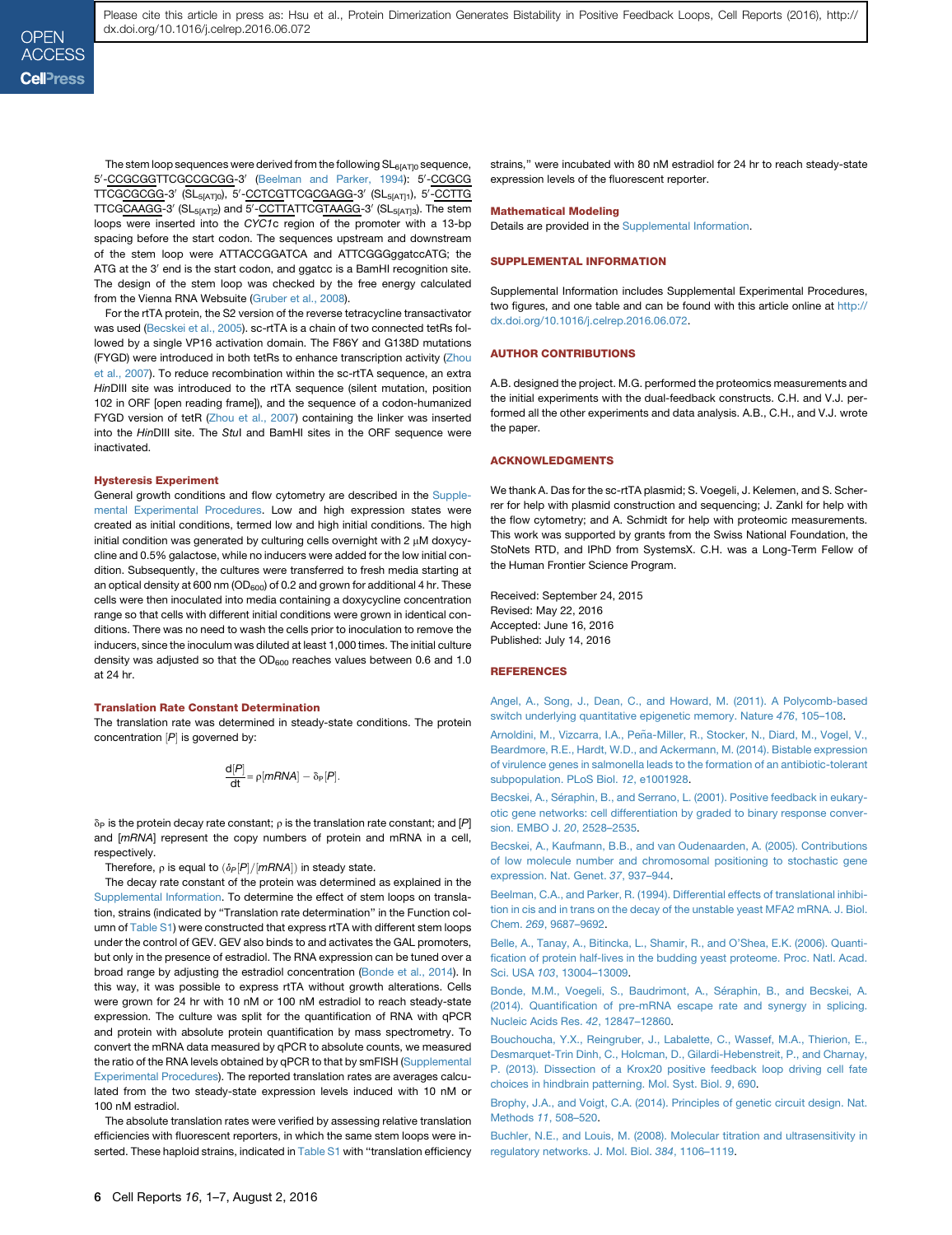<span id="page-7-0"></span>The stem loop sequences were derived from the following  $SL_{6|AT|0}$  sequence, 5'-CCGCGGTTCGCCGCGG-3' ([Beelman and Parker, 1994\)](#page-6-0): 5'-CCGCG TTCG<u>CGCGG</u>-3' (SL<sub>5[AT]0</sub>), 5'-<u>CCTCG</u>TTCG<u>CGAGG</u>-3' (SL<sub>5[AT]1</sub>), 5'-<u>CCTTG</u> TTCGCAAGG-3' (SL<sub>5[AT]2</sub>) and 5'-CCTTATTCGTAAGG-3' (SL<sub>5[AT]3</sub>). The stem loops were inserted into the *CYC1*c region of the promoter with a 13-bp spacing before the start codon. The sequences upstream and downstream of the stem loop were ATTACCGGATCA and ATTCGGGggatccATG; the ATG at the 3' end is the start codon, and ggatcc is a BamHI recognition site. The design of the stem loop was checked by the free energy calculated from the Vienna RNA Websuite (Gruber et al., 2008).

For the rtTA protein, the S2 version of the reverse tetracycline transactivator was used ([Becskei et al., 2005\)](#page-6-0). sc-rtTA is a chain of two connected tetRs followed by a single VP16 activation domain. The F86Y and G138D mutations (FYGD) were introduced in both tetRs to enhance transcription activity (Zhou et al., 2007). To reduce recombination within the sc-rtTA sequence, an extra *Hin*DIII site was introduced to the rtTA sequence (silent mutation, position 102 in ORF [open reading frame]), and the sequence of a codon-humanized FYGD version of tetR (Zhou et al., 2007) containing the linker was inserted into the *Hin*DIII site. The *Stu*I and BamHI sites in the ORF sequence were inactivated.

#### Hysteresis Experiment

General growth conditions and flow cytometry are described in the Supplemental Experimental Procedures. Low and high expression states were created as initial conditions, termed low and high initial conditions. The high initial condition was generated by culturing cells overnight with  $2 \mu M$  doxycycline and 0.5% galactose, while no inducers were added for the low initial condition. Subsequently, the cultures were transferred to fresh media starting at an optical density at 600 nm ( $OD<sub>600</sub>$ ) of 0.2 and grown for additional 4 hr. These cells were then inoculated into media containing a doxycycline concentration range so that cells with different initial conditions were grown in identical conditions. There was no need to wash the cells prior to inoculation to remove the inducers, since the inoculum was diluted at least 1,000 times. The initial culture density was adjusted so that the  $OD<sub>600</sub>$  reaches values between 0.6 and 1.0 at 24 hr.

#### Translation Rate Constant Determination

The translation rate was determined in steady-state conditions. The protein concentration  $[P]$  is governed by:

$$
\frac{d[P]}{dt} = \rho[mRNA] - \delta_P[P].
$$

 $\delta_P$  is the protein decay rate constant;  $\rho$  is the translation rate constant; and [P] and [*mRNA*] represent the copy numbers of protein and mRNA in a cell, respectively.

Therefore,  $\rho$  is equal to  $(\delta_P[P]/[mRNA])$  in steady state.

The decay rate constant of the protein was determined as explained in the [Supplemental Information](#page-6-0). To determine the effect of stem loops on translation, strains (indicated by ''Translation rate determination'' in the Function column of Table S1) were constructed that express rtTA with different stem loops under the control of GEV. GEV also binds to and activates the GAL promoters, but only in the presence of estradiol. The RNA expression can be tuned over a broad range by adjusting the estradiol concentration [\(Bonde et al., 2014](#page-6-0)). In this way, it was possible to express rtTA without growth alterations. Cells were grown for 24 hr with 10 nM or 100 nM estradiol to reach steady-state expression. The culture was split for the quantification of RNA with qPCR and protein with absolute protein quantification by mass spectrometry. To convert the mRNA data measured by qPCR to absolute counts, we measured the ratio of the RNA levels obtained by qPCR to that by smFISH (Supplemental Experimental Procedures). The reported translation rates are averages calculated from the two steady-state expression levels induced with 10 nM or 100 nM estradiol.

The absolute translation rates were verified by assessing relative translation efficiencies with fluorescent reporters, in which the same stem loops were inserted. These haploid strains, indicated in Table S1 with "translation efficiency

strains,'' were incubated with 80 nM estradiol for 24 hr to reach steady-state expression levels of the fluorescent reporter.

#### Mathematical Modeling

Details are provided in the [Supplemental Information.](#page-6-0)

#### SUPPLEMENTAL INFORMATION

Supplemental Information includes Supplemental Experimental Procedures, two figures, and one table and can be found with this article online at [http://](http://dx.doi.org/10.1016/j.celrep.2016.06.072) [dx.doi.org/10.1016/j.celrep.2016.06.072.](http://dx.doi.org/10.1016/j.celrep.2016.06.072)

#### AUTHOR CONTRIBUTIONS

A.B. designed the project. M.G. performed the proteomics measurements and the initial experiments with the dual-feedback constructs. C.H. and V.J. performed all the other experiments and data analysis. A.B., C.H., and V.J. wrote the paper.

#### ACKNOWLEDGMENTS

We thank A. Das for the sc-rtTA plasmid; S. Voegeli, J. Kelemen, and S. Scherrer for help with plasmid construction and sequencing; J. Zankl for help with the flow cytometry; and A. Schmidt for help with proteomic measurements. This work was supported by grants from the Swiss National Foundation, the StoNets RTD, and IPhD from SystemsX. C.H. was a Long-Term Fellow of the Human Frontier Science Program.

Received: September 24, 2015 Revised: May 22, 2016 Accepted: June 16, 2016 Published: July 14, 2016

#### REFERENCES

[Angel, A., Song, J., Dean, C., and Howard, M. \(2011\). A Polycomb-based](http://refhub.elsevier.com/S2211-1247(16)30841-5/sref1) [switch underlying quantitative epigenetic memory. Nature](http://refhub.elsevier.com/S2211-1247(16)30841-5/sref1) *476*, 105–108.

Arnoldini, M., Vizcarra, I.A., Peñ[a-Miller, R., Stocker, N., Diard, M., Vogel, V.,](http://refhub.elsevier.com/S2211-1247(16)30841-5/sref2) [Beardmore, R.E., Hardt, W.D., and Ackermann, M. \(2014\). Bistable expression](http://refhub.elsevier.com/S2211-1247(16)30841-5/sref2) [of virulence genes in salmonella leads to the formation of an antibiotic-tolerant](http://refhub.elsevier.com/S2211-1247(16)30841-5/sref2) [subpopulation. PLoS Biol.](http://refhub.elsevier.com/S2211-1247(16)30841-5/sref2) *12*, e1001928.

Becskei, A., Séraphin, B., and Serrano, L. (2001). Positive feedback in eukary[otic gene networks: cell differentiation by graded to binary response conver](http://refhub.elsevier.com/S2211-1247(16)30841-5/sref3)[sion. EMBO J.](http://refhub.elsevier.com/S2211-1247(16)30841-5/sref3) *20*, 2528–2535.

[Becskei, A., Kaufmann, B.B., and van Oudenaarden, A. \(2005\). Contributions](http://refhub.elsevier.com/S2211-1247(16)30841-5/sref4) [of low molecule number and chromosomal positioning to stochastic gene](http://refhub.elsevier.com/S2211-1247(16)30841-5/sref4) [expression. Nat. Genet.](http://refhub.elsevier.com/S2211-1247(16)30841-5/sref4) *37*, 937–944.

[Beelman, C.A., and Parker, R. \(1994\). Differential effects of translational inhibi](http://refhub.elsevier.com/S2211-1247(16)30841-5/sref5)[tion in cis and in trans on the decay of the unstable yeast MFA2 mRNA. J. Biol.](http://refhub.elsevier.com/S2211-1247(16)30841-5/sref5) Chem. *269*[, 9687–9692](http://refhub.elsevier.com/S2211-1247(16)30841-5/sref5).

[Belle, A., Tanay, A., Bitincka, L., Shamir, R., and O'Shea, E.K. \(2006\). Quanti](http://refhub.elsevier.com/S2211-1247(16)30841-5/sref6)[fication of protein half-lives in the budding yeast proteome. Proc. Natl. Acad.](http://refhub.elsevier.com/S2211-1247(16)30841-5/sref6) Sci. USA *103*[, 13004–13009](http://refhub.elsevier.com/S2211-1247(16)30841-5/sref6).

Bonde, M.M., Voegeli, S., Baudrimont, A., Séraphin, B., and Becskei, A. [\(2014\). Quantification of pre-mRNA escape rate and synergy in splicing.](http://refhub.elsevier.com/S2211-1247(16)30841-5/sref7) [Nucleic Acids Res.](http://refhub.elsevier.com/S2211-1247(16)30841-5/sref7) *42*, 12847–12860.

[Bouchoucha, Y.X., Reingruber, J., Labalette, C., Wassef, M.A., Thierion, E.,](http://refhub.elsevier.com/S2211-1247(16)30841-5/sref8) [Desmarquet-Trin Dinh, C., Holcman, D., Gilardi-Hebenstreit, P., and Charnay,](http://refhub.elsevier.com/S2211-1247(16)30841-5/sref8) [P. \(2013\). Dissection of a Krox20 positive feedback loop driving cell fate](http://refhub.elsevier.com/S2211-1247(16)30841-5/sref8) [choices in hindbrain patterning. Mol. Syst. Biol.](http://refhub.elsevier.com/S2211-1247(16)30841-5/sref8) *9*, 690.

[Brophy, J.A., and Voigt, C.A. \(2014\). Principles of genetic circuit design. Nat.](http://refhub.elsevier.com/S2211-1247(16)30841-5/sref9) Methods *11*[, 508–520.](http://refhub.elsevier.com/S2211-1247(16)30841-5/sref9)

[Buchler, N.E., and Louis, M. \(2008\). Molecular titration and ultrasensitivity in](http://refhub.elsevier.com/S2211-1247(16)30841-5/sref10) [regulatory networks. J. Mol. Biol.](http://refhub.elsevier.com/S2211-1247(16)30841-5/sref10) *384*, 1106–1119.